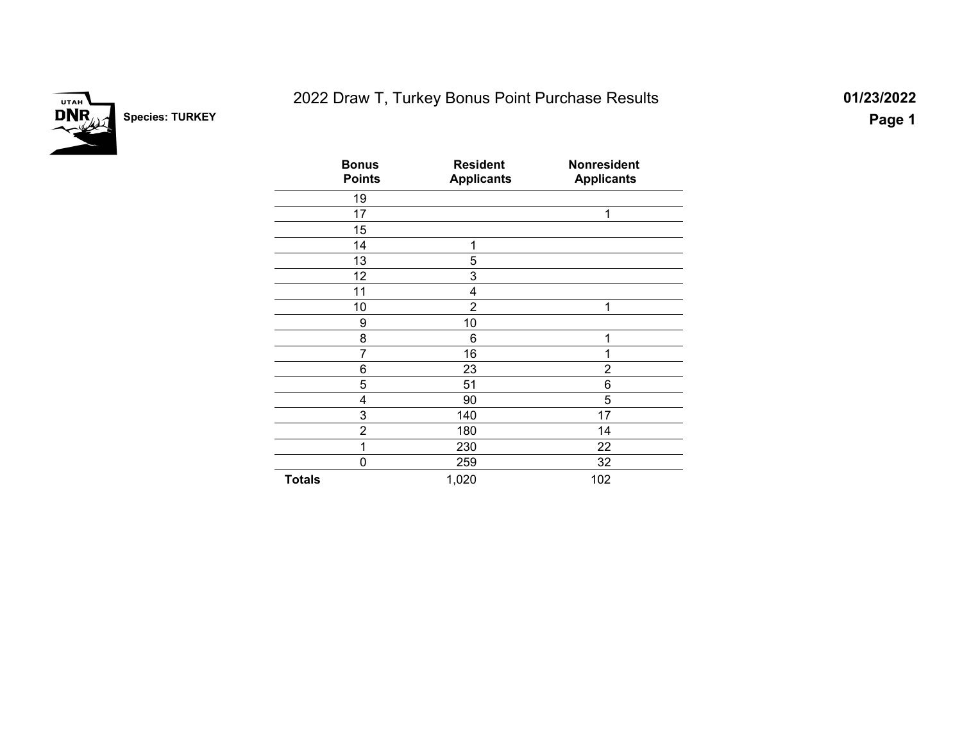

# 2022 Draw T, Turkey Bonus Point Purchase Results **01/23/2022**

| <b>Bonus</b><br><b>Points</b> | <b>Resident</b><br><b>Applicants</b> | <b>Nonresident</b><br><b>Applicants</b> |
|-------------------------------|--------------------------------------|-----------------------------------------|
| 19                            |                                      |                                         |
| 17                            |                                      | 1                                       |
| 15                            |                                      |                                         |
| 14                            | 1                                    |                                         |
| 13                            | 5                                    |                                         |
| 12                            | 3                                    |                                         |
| 11                            | 4                                    |                                         |
| 10                            | $\overline{2}$                       | 1                                       |
| 9                             | 10                                   |                                         |
| 8                             | 6                                    | 1                                       |
| 7                             | 16                                   | 1                                       |
| 6                             | 23                                   | $\overline{2}$                          |
| 5                             | 51                                   | 6                                       |
| 4                             | 90                                   | 5                                       |
| 3                             | 140                                  | 17                                      |
| $\overline{2}$                | 180                                  | 14                                      |
| 1                             | 230                                  | 22                                      |
| 0                             | 259                                  | 32                                      |
| <b>Totals</b>                 | 1,020                                | 102                                     |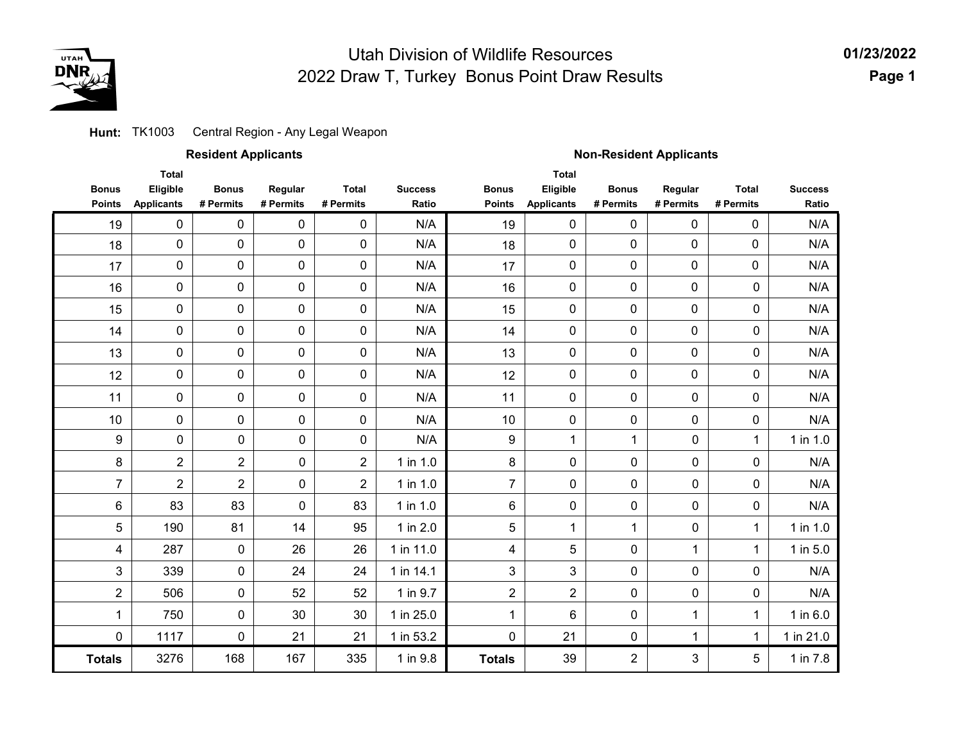

**01/23/2022 Page 1**

#### Central Region - Any Legal Weapon **Hunt:** TK1003

|                               |                                               | <b>Resident Applicants</b> |                      |                           |                         | <b>Non-Resident Applicants</b> |                                               |                           |                      |                           |                         |  |  |
|-------------------------------|-----------------------------------------------|----------------------------|----------------------|---------------------------|-------------------------|--------------------------------|-----------------------------------------------|---------------------------|----------------------|---------------------------|-------------------------|--|--|
| <b>Bonus</b><br><b>Points</b> | <b>Total</b><br>Eligible<br><b>Applicants</b> | <b>Bonus</b><br># Permits  | Regular<br># Permits | <b>Total</b><br># Permits | <b>Success</b><br>Ratio | <b>Bonus</b><br><b>Points</b>  | <b>Total</b><br>Eligible<br><b>Applicants</b> | <b>Bonus</b><br># Permits | Regular<br># Permits | <b>Total</b><br># Permits | <b>Success</b><br>Ratio |  |  |
| 19                            | $\pmb{0}$                                     | 0                          | 0                    | $\pmb{0}$                 | N/A                     | 19                             | $\pmb{0}$                                     | 0                         | $\mathbf 0$          | 0                         | N/A                     |  |  |
| 18                            | 0                                             | 0                          | $\pmb{0}$            | $\pmb{0}$                 | N/A                     | 18                             | 0                                             | $\mathbf 0$               | $\pmb{0}$            | 0                         | N/A                     |  |  |
| 17                            | 0                                             | 0                          | 0                    | $\pmb{0}$                 | N/A                     | 17                             | 0                                             | $\mathbf 0$               | $\mathbf 0$          | $\mathbf 0$               | N/A                     |  |  |
| 16                            | 0                                             | 0                          | 0                    | $\pmb{0}$                 | N/A                     | 16                             | 0                                             | $\mathbf 0$               | $\pmb{0}$            | $\pmb{0}$                 | N/A                     |  |  |
| 15                            | 0                                             | 0                          | 0                    | $\pmb{0}$                 | N/A                     | 15                             | 0                                             | 0                         | 0                    | 0                         | N/A                     |  |  |
| 14                            | 0                                             | 0                          | $\pmb{0}$            | $\pmb{0}$                 | N/A                     | 14                             | 0                                             | $\mathbf 0$               | $\mathbf 0$          | $\mathbf 0$               | N/A                     |  |  |
| 13                            | 0                                             | 0                          | 0                    | $\mathbf 0$               | N/A                     | 13                             | 0                                             | $\mathbf 0$               | $\mathbf 0$          | $\mathbf 0$               | N/A                     |  |  |
| 12                            | 0                                             | 0                          | 0                    | $\pmb{0}$                 | N/A                     | 12                             | 0                                             | $\mathbf 0$               | $\mathbf 0$          | 0                         | N/A                     |  |  |
| 11                            | 0                                             | $\pmb{0}$                  | $\pmb{0}$            | 0                         | N/A                     | 11                             | 0                                             | $\mathbf 0$               | 0                    | $\mathbf 0$               | N/A                     |  |  |
| 10                            | 0                                             | $\pmb{0}$                  | $\pmb{0}$            | 0                         | N/A                     | 10                             | 0                                             | 0                         | 0                    | 0                         | N/A                     |  |  |
| 9                             | $\pmb{0}$                                     | 0                          | $\pmb{0}$            | $\pmb{0}$                 | N/A                     | 9                              | 1                                             | 1                         | 0                    | 1                         | 1 in 1.0                |  |  |
| 8                             | $\overline{2}$                                | $\overline{2}$             | 0                    | $\overline{2}$            | 1 in 1.0                | 8                              | 0                                             | 0                         | 0                    | $\mathbf 0$               | N/A                     |  |  |
| $\overline{7}$                | $\overline{2}$                                | $\overline{c}$             | 0                    | $\overline{2}$            | 1 in 1.0                | $\overline{7}$                 | 0                                             | 0                         | 0                    | 0                         | N/A                     |  |  |
| 6                             | 83                                            | 83                         | $\pmb{0}$            | 83                        | $1$ in $1.0$            | 6                              | 0                                             | 0                         | 0                    | $\pmb{0}$                 | N/A                     |  |  |
| 5                             | 190                                           | 81                         | 14                   | 95                        | 1 in 2.0                | 5                              | 1                                             | 1                         | 0                    | 1                         | $1$ in $1.0$            |  |  |
| 4                             | 287                                           | $\pmb{0}$                  | 26                   | 26                        | 1 in 11.0               | $\overline{\mathbf{4}}$        | 5                                             | 0                         | 1                    | 1                         | 1 in 5.0                |  |  |
| 3                             | 339                                           | 0                          | 24                   | 24                        | 1 in 14.1               | 3                              | 3                                             | 0                         | 0                    | 0                         | N/A                     |  |  |
| $\overline{2}$                | 506                                           | $\pmb{0}$                  | 52                   | 52                        | 1 in 9.7                | $\overline{2}$                 | $\overline{2}$                                | 0                         | 0                    | 0                         | N/A                     |  |  |
| 1                             | 750                                           | 0                          | 30                   | 30                        | 1 in 25.0               | 1                              | 6                                             | 0                         | 1                    | 1                         | $1$ in $6.0$            |  |  |
| 0                             | 1117                                          | 0                          | 21                   | 21                        | 1 in 53.2               | 0                              | 21                                            | 0                         | 1                    | 1                         | 1 in 21.0               |  |  |
| <b>Totals</b>                 | 3276                                          | 168                        | 167                  | 335                       | 1 in 9.8                | <b>Totals</b>                  | 39                                            | 2                         | 3                    | 5                         | 1 in 7.8                |  |  |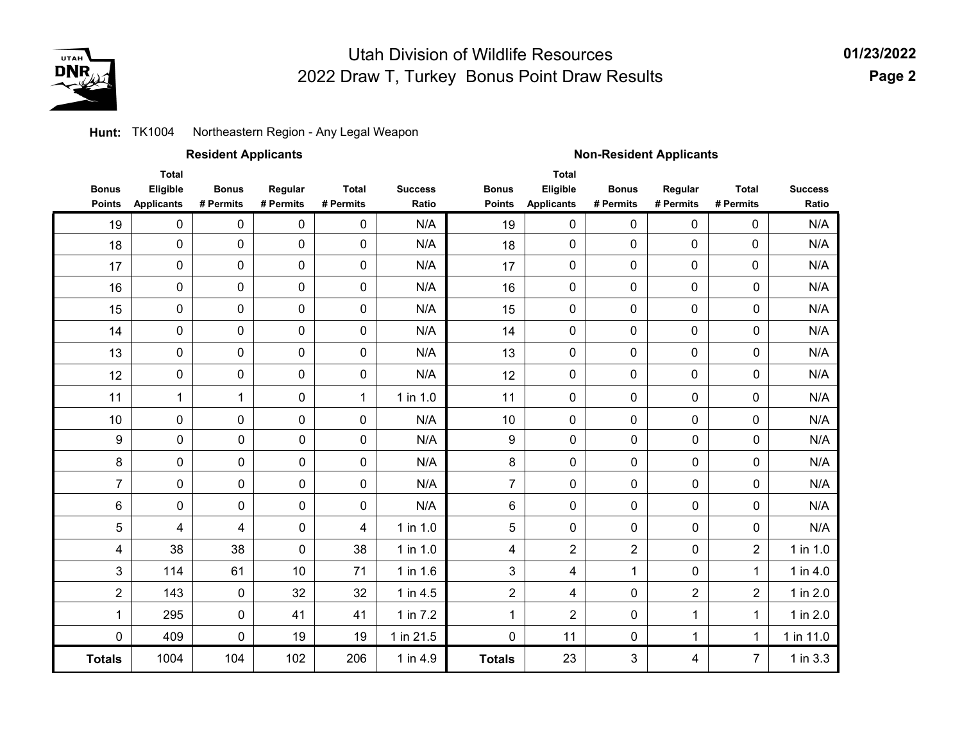

**01/23/2022Page 2**

### **Hunt:** TK1004 Northeastern Region - Any Legal Weapon

|                               |                                               | <b>Resident Applicants</b> |                      |                           |                         | <b>Non-Resident Applicants</b> |                                               |                           |                      |                           |                         |  |
|-------------------------------|-----------------------------------------------|----------------------------|----------------------|---------------------------|-------------------------|--------------------------------|-----------------------------------------------|---------------------------|----------------------|---------------------------|-------------------------|--|
| <b>Bonus</b><br><b>Points</b> | <b>Total</b><br>Eligible<br><b>Applicants</b> | <b>Bonus</b><br># Permits  | Regular<br># Permits | <b>Total</b><br># Permits | <b>Success</b><br>Ratio | <b>Bonus</b><br><b>Points</b>  | <b>Total</b><br>Eligible<br><b>Applicants</b> | <b>Bonus</b><br># Permits | Regular<br># Permits | <b>Total</b><br># Permits | <b>Success</b><br>Ratio |  |
| 19                            | $\mathbf 0$                                   | 0                          | $\pmb{0}$            | $\pmb{0}$                 | N/A                     | 19                             | $\mathbf 0$                                   | $\mathbf 0$               | $\pmb{0}$            | $\mathbf 0$               | N/A                     |  |
| 18                            | $\mathbf 0$                                   | 0                          | 0                    | 0                         | N/A                     | 18                             | 0                                             | $\mathbf 0$               | 0                    | 0                         | N/A                     |  |
| 17                            | 0                                             | 0                          | 0                    | $\pmb{0}$                 | N/A                     | 17                             | $\mathbf 0$                                   | $\pmb{0}$                 | 0                    | 0                         | N/A                     |  |
| 16                            | $\pmb{0}$                                     | 0                          | $\pmb{0}$            | 0                         | N/A                     | 16                             | $\mathsf{O}\xspace$                           | $\mathbf 0$               | 0                    | $\pmb{0}$                 | N/A                     |  |
| 15                            | $\pmb{0}$                                     | 0                          | 0                    | 0                         | N/A                     | 15                             | $\mathbf 0$                                   | $\mathbf 0$               | 0                    | 0                         | N/A                     |  |
| 14                            | 0                                             | 0                          | $\pmb{0}$            | 0                         | N/A                     | 14                             | $\mathsf{O}\xspace$                           | $\mathbf 0$               | 0                    | 0                         | N/A                     |  |
| 13                            | $\pmb{0}$                                     | $\mathbf 0$                | 0                    | 0                         | N/A                     | 13                             | 0                                             | $\mathbf 0$               | 0                    | 0                         | N/A                     |  |
| 12                            | 0                                             | 0                          | 0                    | 0                         | N/A                     | 12                             | $\mathbf 0$                                   | $\mathbf 0$               | 0                    | 0                         | N/A                     |  |
| 11                            | $\mathbf{1}$                                  | $\mathbf{1}$               | 0                    | $\mathbf{1}$              | 1 in 1.0                | 11                             | $\mathbf 0$                                   | $\mathbf 0$               | 0                    | 0                         | N/A                     |  |
| 10                            | 0                                             | 0                          | 0                    | $\pmb{0}$                 | N/A                     | 10                             | 0                                             | $\mathbf 0$               | 0                    | 0                         | N/A                     |  |
| $\boldsymbol{9}$              | $\pmb{0}$                                     | $\pmb{0}$                  | $\pmb{0}$            | $\pmb{0}$                 | N/A                     | 9                              | $\pmb{0}$                                     | 0                         | $\pmb{0}$            | $\pmb{0}$                 | N/A                     |  |
| 8                             | $\pmb{0}$                                     | $\pmb{0}$                  | $\pmb{0}$            | 0                         | N/A                     | 8                              | $\pmb{0}$                                     | 0                         | $\pmb{0}$            | 0                         | N/A                     |  |
| $\overline{7}$                | $\pmb{0}$                                     | $\pmb{0}$                  | $\pmb{0}$            | $\pmb{0}$                 | N/A                     | $\overline{7}$                 | 0                                             | 0                         | $\pmb{0}$            | 0                         | N/A                     |  |
| 6                             | $\mathbf 0$                                   | $\mathbf 0$                | $\pmb{0}$            | 0                         | N/A                     | 6                              | 0                                             | 0                         | $\mathbf 0$          | 0                         | N/A                     |  |
| 5                             | 4                                             | 4                          | $\pmb{0}$            | 4                         | 1 in 1.0                | 5                              | $\mathbf 0$                                   | 0                         | $\mathbf 0$          | $\mathbf 0$               | N/A                     |  |
| 4                             | 38                                            | 38                         | $\pmb{0}$            | 38                        | 1 in 1.0                | 4                              | $\overline{2}$                                | $\overline{2}$            | 0                    | $\overline{2}$            | 1 in 1.0                |  |
| 3                             | 114                                           | 61                         | 10                   | 71                        | 1 in 1.6                | 3                              | 4                                             | 1                         | $\mathbf 0$          | 1                         | 1 in 4.0                |  |
| $\overline{2}$                | 143                                           | 0                          | 32                   | 32                        | 1 in 4.5                | $\overline{2}$                 | 4                                             | 0                         | $\overline{2}$       | $\overline{2}$            | 1 in 2.0                |  |
| 1                             | 295                                           | $\mathbf 0$                | 41                   | 41                        | 1 in 7.2                | 1                              | $\overline{2}$                                | 0                         | $\mathbf 1$          | $\mathbf 1$               | 1 in 2.0                |  |
| 0                             | 409                                           | 0                          | 19                   | 19                        | 1 in 21.5               | 0                              | 11                                            | 0                         | 1                    | $\mathbf{1}$              | 1 in 11.0               |  |
| <b>Totals</b>                 | 1004                                          | 104                        | 102                  | 206                       | 1 in 4.9                | <b>Totals</b>                  | 23                                            | 3                         | 4                    | $\overline{7}$            | $1$ in $3.3$            |  |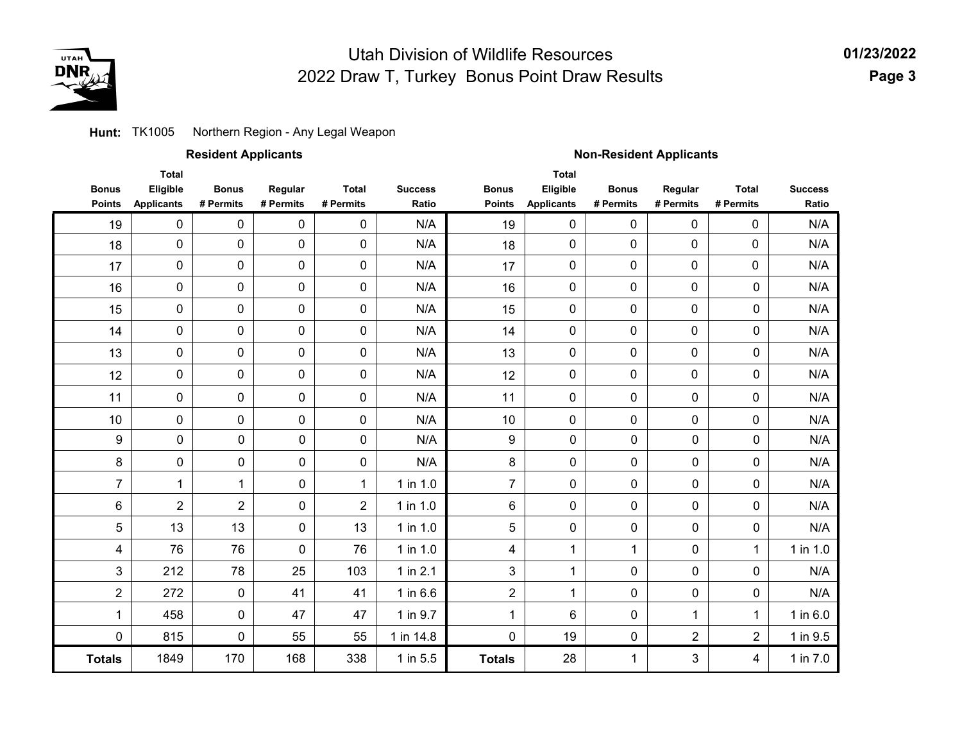

**01/23/2022 Page 3**

### **Hunt:** TK1005 Northern Region - Any Legal Weapon

| <b>Resident Applicants</b> |  |
|----------------------------|--|
|----------------------------|--|

### **Resident Applicants Non-Resident Applicants**

|                | <b>Total</b>      |                |                |                |                |                  | <b>Total</b>      |              |                |                |                |
|----------------|-------------------|----------------|----------------|----------------|----------------|------------------|-------------------|--------------|----------------|----------------|----------------|
| <b>Bonus</b>   | Eligible          | <b>Bonus</b>   | Regular        | <b>Total</b>   | <b>Success</b> | <b>Bonus</b>     | Eligible          | <b>Bonus</b> | Regular        | <b>Total</b>   | <b>Success</b> |
| <b>Points</b>  | <b>Applicants</b> | # Permits      | # Permits      | # Permits      | Ratio          | <b>Points</b>    | <b>Applicants</b> | # Permits    | # Permits      | # Permits      | Ratio          |
| 19             | $\pmb{0}$         | $\mathbf 0$    | $\mathbf 0$    | 0              | N/A            | 19               | 0                 | 0            | 0              | 0              | N/A            |
| 18             | $\pmb{0}$         | 0              | $\pmb{0}$      | 0              | N/A            | 18               | 0                 | 0            | 0              | 0              | N/A            |
| 17             | $\pmb{0}$         | 0              | 0              | $\mathbf 0$    | N/A            | 17               | 0                 | 0            | 0              | 0              | N/A            |
| 16             | $\mathbf 0$       | 0              | $\overline{0}$ | 0              | N/A            | 16               | 0                 | 0            | 0              | $\mathbf 0$    | N/A            |
| 15             | $\pmb{0}$         | $\mathbf 0$    | $\mathbf 0$    | $\pmb{0}$      | N/A            | 15               | 0                 | 0            | 0              | $\mathbf 0$    | N/A            |
| 14             | $\pmb{0}$         | $\mathbf 0$    | 0              | $\mathbf 0$    | N/A            | 14               | 0                 | 0            | 0              | $\mathbf 0$    | N/A            |
| 13             | $\mathbf 0$       | 0              | 0              | 0              | N/A            | 13               | 0                 | 0            | 0              | $\mathbf 0$    | N/A            |
| 12             | $\pmb{0}$         | 0              | 0              | $\mathbf 0$    | N/A            | 12               | $\pmb{0}$         | 0            | 0              | $\mathbf 0$    | N/A            |
| 11             | $\pmb{0}$         | 0              | $\mathbf 0$    | $\mathbf 0$    | N/A            | 11               | $\mathbf 0$       | 0            | $\pmb{0}$      | 0              | N/A            |
| 10             | $\pmb{0}$         | 0              | $\mathbf 0$    | $\mathbf 0$    | N/A            | 10               | 0                 | 0            | 0              | 0              | N/A            |
| 9              | 0                 | $\mathbf 0$    | $\mathbf 0$    | $\mathbf 0$    | N/A            | $\boldsymbol{9}$ | 0                 | $\mathbf 0$  | $\mathbf 0$    | $\mathbf 0$    | N/A            |
| 8              | 0                 | $\mathbf 0$    | 0              | 0              | N/A            | 8                | 0                 | 0            | $\mathbf 0$    | $\mathbf 0$    | N/A            |
| $\overline{7}$ | $\mathbf{1}$      | $\mathbf 1$    | $\mathbf 0$    | 1              | 1 in 1.0       | $\overline{7}$   | 0                 | 0            | $\mathbf 0$    | $\mathbf 0$    | N/A            |
| 6              | $\overline{2}$    | $\overline{2}$ | $\mathbf 0$    | $\overline{2}$ | 1 in 1.0       | 6                | 0                 | $\mathbf 0$  | $\mathbf 0$    | $\mathbf 0$    | N/A            |
| 5              | 13                | 13             | $\mathbf 0$    | 13             | 1 in 1.0       | 5                | 0                 | $\pmb{0}$    | $\mathbf 0$    | $\mathbf 0$    | N/A            |
| 4              | 76                | 76             | $\mathbf 0$    | 76             | 1 in 1.0       | 4                | 1                 | $\mathbf{1}$ | $\mathbf 0$    | $\mathbf{1}$   | 1 in 1.0       |
| 3              | 212               | 78             | 25             | 103            | 1 in $2.1$     | 3                | $\mathbf{1}$      | $\mathbf 0$  | $\mathbf 0$    | $\mathbf 0$    | N/A            |
| $\overline{2}$ | 272               | $\mathbf 0$    | 41             | 41             | $1$ in $6.6$   | $\overline{2}$   | $\mathbf{1}$      | $\mathbf 0$  | $\mathbf 0$    | $\mathbf 0$    | N/A            |
| $\mathbf{1}$   | 458               | $\mathbf 0$    | 47             | 47             | 1 in 9.7       | $\mathbf 1$      | 6                 | $\mathbf 0$  | $\mathbf 1$    | $\mathbf{1}$   | 1 in 6.0       |
| $\mathbf 0$    | 815               | $\mathbf 0$    | 55             | 55             | 1 in 14.8      | $\mathbf 0$      | 19                | $\mathbf 0$  | $\overline{2}$ | $\overline{2}$ | 1 in 9.5       |
| <b>Totals</b>  | 1849              | 170            | 168            | 338            | 1 in 5.5       | <b>Totals</b>    | 28                | $\mathbf 1$  | 3              | $\overline{4}$ | 1 in 7.0       |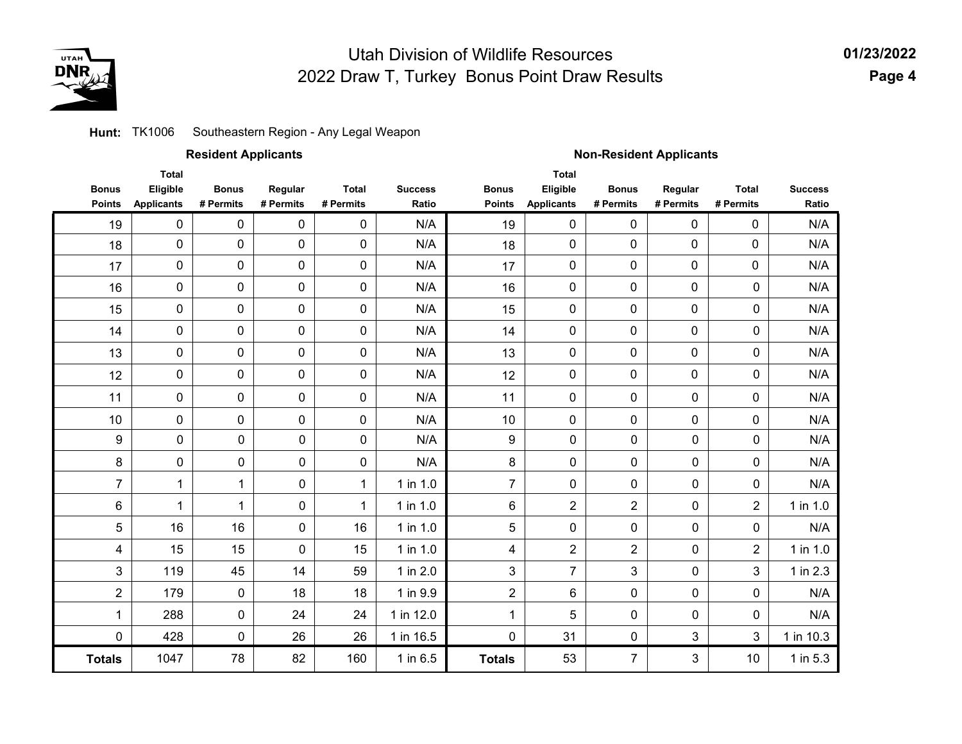

#### Southeastern Region - Any Legal Weapon **Hunt:** TK1006

|                               |                                               | <b>Resident Applicants</b> |                      |                           |                         | <b>Non-Resident Applicants</b> |                                               |                           |                      |                           |                         |  |
|-------------------------------|-----------------------------------------------|----------------------------|----------------------|---------------------------|-------------------------|--------------------------------|-----------------------------------------------|---------------------------|----------------------|---------------------------|-------------------------|--|
| <b>Bonus</b><br><b>Points</b> | <b>Total</b><br>Eligible<br><b>Applicants</b> | <b>Bonus</b><br># Permits  | Regular<br># Permits | <b>Total</b><br># Permits | <b>Success</b><br>Ratio | <b>Bonus</b><br><b>Points</b>  | <b>Total</b><br>Eligible<br><b>Applicants</b> | <b>Bonus</b><br># Permits | Regular<br># Permits | <b>Total</b><br># Permits | <b>Success</b><br>Ratio |  |
| 19                            | 0                                             | $\pmb{0}$                  | $\pmb{0}$            | $\pmb{0}$                 | N/A                     | 19                             | $\pmb{0}$                                     | $\pmb{0}$                 | $\pmb{0}$            | 0                         | N/A                     |  |
| 18                            | 0                                             | $\pmb{0}$                  | $\pmb{0}$            | $\pmb{0}$                 | N/A                     | 18                             | $\pmb{0}$                                     | 0                         | $\mathbf 0$          | 0                         | N/A                     |  |
| 17                            | 0                                             | $\pmb{0}$                  | $\mathbf 0$          | $\mathbf 0$               | N/A                     | 17                             | 0                                             | 0                         | $\mathbf 0$          | 0                         | N/A                     |  |
| 16                            | 0                                             | $\pmb{0}$                  | $\pmb{0}$            | $\pmb{0}$                 | N/A                     | 16                             | 0                                             | 0                         | $\pmb{0}$            | 0                         | N/A                     |  |
| 15                            | 0                                             | $\pmb{0}$                  | $\pmb{0}$            | $\pmb{0}$                 | N/A                     | 15                             | $\pmb{0}$                                     | 0                         | $\pmb{0}$            | 0                         | N/A                     |  |
| 14                            | 0                                             | $\pmb{0}$                  | $\mathbf 0$          | $\mathbf 0$               | N/A                     | 14                             | $\pmb{0}$                                     | 0                         | $\mathbf 0$          | 0                         | N/A                     |  |
| 13                            | 0                                             | 0                          | $\pmb{0}$            | $\pmb{0}$                 | N/A                     | 13                             | 0                                             | 0                         | $\mathbf 0$          | 0                         | N/A                     |  |
| 12                            | 0                                             | $\pmb{0}$                  | $\pmb{0}$            | $\pmb{0}$                 | N/A                     | 12                             | $\pmb{0}$                                     | 0                         | $\pmb{0}$            | 0                         | N/A                     |  |
| 11                            | 0                                             | $\pmb{0}$                  | $\pmb{0}$            | $\pmb{0}$                 | N/A                     | 11                             | $\pmb{0}$                                     | 0                         | 0                    | $\pmb{0}$                 | N/A                     |  |
| 10                            | 0                                             | $\pmb{0}$                  | $\pmb{0}$            | $\pmb{0}$                 | N/A                     | 10                             | 0                                             | 0                         | $\pmb{0}$            | $\mathbf 0$               | N/A                     |  |
| 9                             | 0                                             | 0                          | 0                    | $\pmb{0}$                 | N/A                     | $\boldsymbol{9}$               | $\pmb{0}$                                     | $\pmb{0}$                 | 0                    | 0                         | N/A                     |  |
| 8                             | 0                                             | 0                          | 0                    | $\mathbf 0$               | N/A                     | 8                              | $\pmb{0}$                                     | 0                         | 0                    | 0                         | N/A                     |  |
| $\overline{7}$                | $\mathbf{1}$                                  | $\mathbf{1}$               | 0                    | $\mathbf{1}$              | 1 in 1.0                | $\overline{7}$                 | 0                                             | 0                         | 0                    | 0                         | N/A                     |  |
| 6                             | 1                                             | 1                          | 0                    | 1                         | $1$ in $1.0$            | 6                              | $\overline{2}$                                | $\overline{2}$            | 0                    | $\overline{2}$            | 1 in 1.0                |  |
| $\sqrt{5}$                    | 16                                            | 16                         | $\mathsf{O}\xspace$  | 16                        | 1 in 1.0                | 5                              | $\pmb{0}$                                     | $\pmb{0}$                 | $\pmb{0}$            | 0                         | N/A                     |  |
| 4                             | 15                                            | 15                         | $\mathbf 0$          | 15                        | 1 in 1.0                | 4                              | $\overline{2}$                                | $\overline{2}$            | 0                    | $\overline{2}$            | 1 in 1.0                |  |
| $\mathfrak{S}$                | 119                                           | 45                         | 14                   | 59                        | 1 in 2.0                | 3                              | $\overline{7}$                                | 3                         | 0                    | 3                         | 1 in 2.3                |  |
| $\overline{2}$                | 179                                           | $\pmb{0}$                  | 18                   | 18                        | 1 in 9.9                | $\overline{2}$                 | 6                                             | $\pmb{0}$                 | $\pmb{0}$            | 0                         | N/A                     |  |
| $\mathbf 1$                   | 288                                           | 0                          | 24                   | 24                        | 1 in 12.0               | 1                              | 5                                             | 0                         | 0                    | 0                         | N/A                     |  |
| 0                             | 428                                           | 0                          | 26                   | 26                        | 1 in 16.5               | $\mathbf 0$                    | 31                                            | 0                         | 3                    | 3                         | 1 in 10.3               |  |
| <b>Totals</b>                 | 1047                                          | 78                         | 82                   | 160                       | 1 in 6.5                | <b>Totals</b>                  | 53                                            | $\overline{7}$            | 3                    | 10                        | 1 in $5.3$              |  |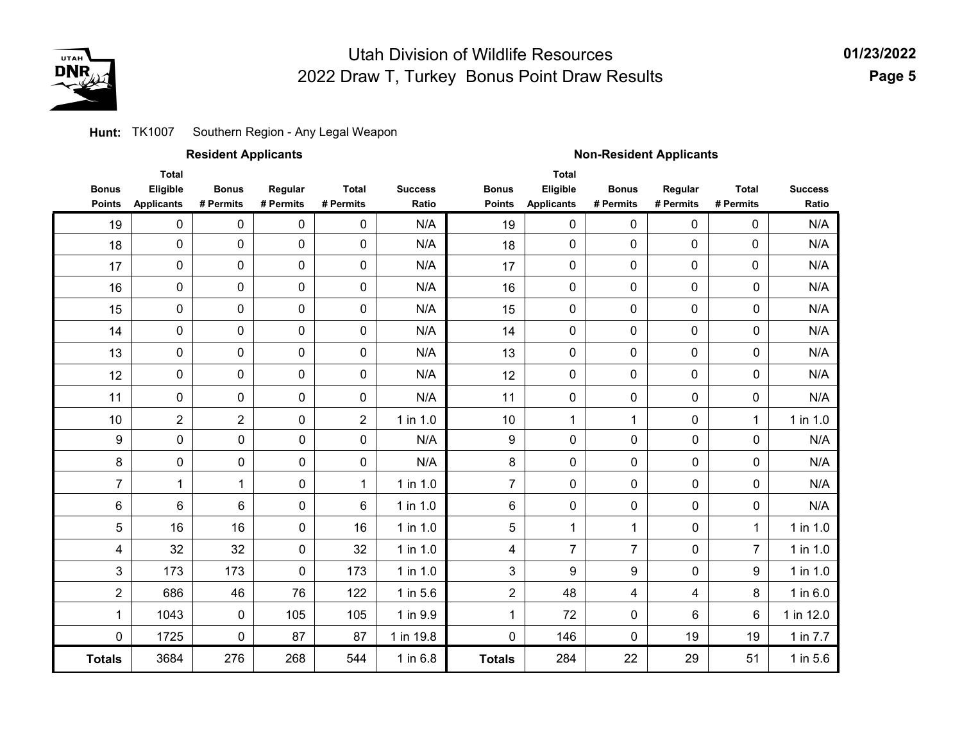

### **Hunt:** TK1007 Southern Region - Any Legal Weapon

### **Resident Applicants Non-Resident Applicants**

|                               | <b>Total</b>                  |                           |                      |                           |                         |                               | <b>Total</b>                  |                           |                      |                           |                         |
|-------------------------------|-------------------------------|---------------------------|----------------------|---------------------------|-------------------------|-------------------------------|-------------------------------|---------------------------|----------------------|---------------------------|-------------------------|
| <b>Bonus</b><br><b>Points</b> | Eligible<br><b>Applicants</b> | <b>Bonus</b><br># Permits | Regular<br># Permits | <b>Total</b><br># Permits | <b>Success</b><br>Ratio | <b>Bonus</b><br><b>Points</b> | Eligible<br><b>Applicants</b> | <b>Bonus</b><br># Permits | Regular<br># Permits | <b>Total</b><br># Permits | <b>Success</b><br>Ratio |
|                               |                               |                           |                      |                           |                         |                               |                               |                           |                      |                           |                         |
| 19                            | 0                             | 0                         | 0                    | 0                         | N/A                     | 19                            | 0                             | 0                         | 0                    | 0                         | N/A                     |
| 18                            | $\pmb{0}$                     | 0                         | $\pmb{0}$            | 0                         | N/A                     | 18                            | $\pmb{0}$                     | $\pmb{0}$                 | 0                    | $\pmb{0}$                 | N/A                     |
| 17                            | $\pmb{0}$                     | 0                         | 0                    | 0                         | N/A                     | 17                            | 0                             | 0                         | 0                    | 0                         | N/A                     |
| 16                            | $\mathbf 0$                   | 0                         | 0                    | 0                         | N/A                     | 16                            | 0                             | 0                         | 0                    | $\mathbf 0$               | N/A                     |
| 15                            | $\mathbf 0$                   | 0                         | $\overline{0}$       | 0                         | N/A                     | 15                            | $\mathbf 0$                   | 0                         | 0                    | 0                         | N/A                     |
| 14                            | $\pmb{0}$                     | 0                         | 0                    | 0                         | N/A                     | 14                            | $\mathbf 0$                   | 0                         | 0                    | $\mathbf 0$               | N/A                     |
| 13                            | $\pmb{0}$                     | 0                         | 0                    | 0                         | N/A                     | 13                            | 0                             | $\mathbf 0$               | 0                    | $\mathbf 0$               | N/A                     |
| 12                            | $\mathbf 0$                   | 0                         | 0                    | 0                         | N/A                     | 12                            | 0                             | 0                         | 0                    | $\mathbf 0$               | N/A                     |
| 11                            | $\pmb{0}$                     | $\mathbf 0$               | $\mathbf 0$          | $\mathbf 0$               | N/A                     | 11                            | $\mathbf 0$                   | 0                         | $\mathbf 0$          | 0                         | N/A                     |
| 10                            | $\overline{2}$                | $\overline{2}$            | $\mathbf 0$          | $\overline{2}$            | 1 in 1.0                | 10                            | $\mathbf{1}$                  | $\mathbf{1}$              | $\mathbf 0$          | 1                         | 1 in 1.0                |
| $\boldsymbol{9}$              | 0                             | 0                         | $\mathbf 0$          | 0                         | N/A                     | 9                             | 0                             | 0                         | 0                    | $\mathbf 0$               | N/A                     |
| 8                             | $\mathbf 0$                   | 0                         | 0                    | 0                         | N/A                     | 8                             | 0                             | $\mathbf 0$               | 0                    | 0                         | N/A                     |
| $\overline{7}$                | 1                             | 1                         | $\mathbf 0$          | $\mathbf 1$               | $1$ in $1.0$            | $\overline{7}$                | 0                             | $\mathbf 0$               | 0                    | 0                         | N/A                     |
| 6                             | $\,6$                         | 6                         | $\mathbf 0$          | $6\phantom{1}$            | $1$ in $1.0$            | 6                             | 0                             | $\mathbf 0$               | 0                    | $\pmb{0}$                 | N/A                     |
| 5                             | 16                            | 16                        | $\mathbf 0$          | 16                        | 1 in 1.0                | 5                             | $\mathbf 1$                   | 1                         | 0                    | $\mathbf 1$               | 1 in 1.0                |
| 4                             | 32                            | 32                        | $\mathbf 0$          | 32                        | 1 in 1.0                | 4                             | $\overline{7}$                | $\overline{7}$            | 0                    | $\overline{7}$            | 1 in 1.0                |
| 3                             | 173                           | 173                       | $\mathbf 0$          | 173                       | 1 in 1.0                | 3                             | 9                             | 9                         | 0                    | 9                         | 1 in 1.0                |
| $\overline{2}$                | 686                           | 46                        | 76                   | 122                       | 1 in 5.6                | $\overline{c}$                | 48                            | 4                         | 4                    | 8                         | $1$ in $6.0$            |
| $\mathbf{1}$                  | 1043                          | 0                         | 105                  | 105                       | 1 in 9.9                | $\mathbf 1$                   | 72                            | 0                         | 6                    | 6                         | 1 in 12.0               |
| $\mathbf 0$                   | 1725                          | $\overline{0}$            | 87                   | 87                        | 1 in 19.8               | $\mathbf 0$                   | 146                           | $\mathbf 0$               | 19                   | 19                        | 1 in 7.7                |
| <b>Totals</b>                 | 3684                          | 276                       | 268                  | 544                       | 1 in 6.8                | <b>Totals</b>                 | 284                           | 22                        | 29                   | 51                        | 1 in 5.6                |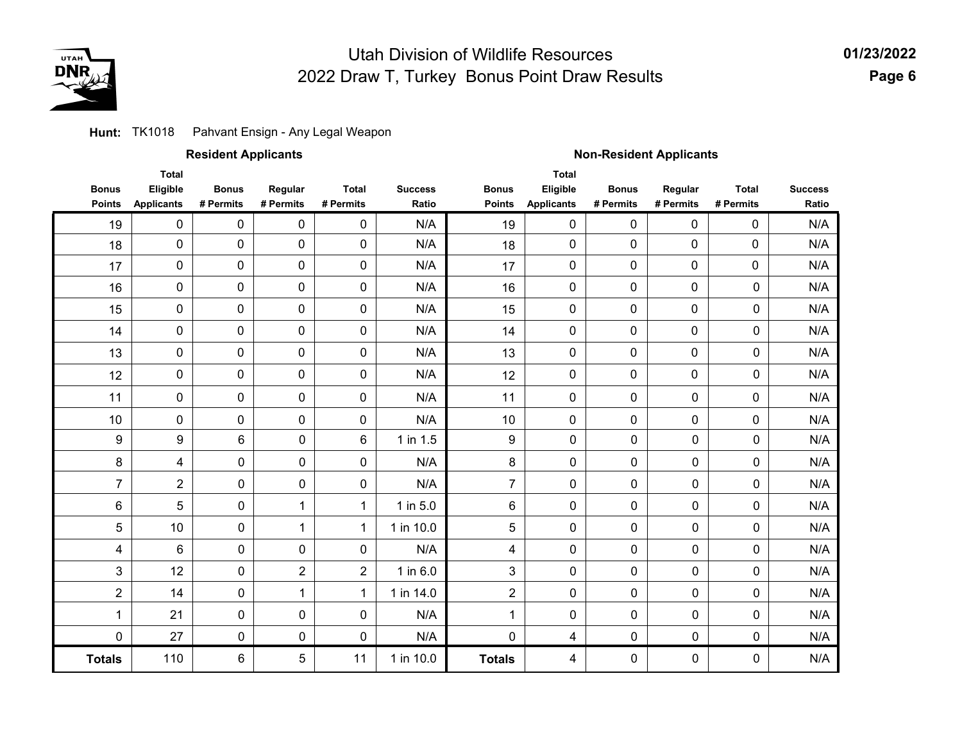

### **Hunt:** TK1018 Pahvant Ensign - Any Legal Weapon

27

0 6 0 5

110

0

**Totals**

|                               |                                               | <b>Resident Applicants</b> |                      |                           |                         | <b>Non-Resident Applicants</b> |                                               |                           |                      |                           |                         |  |
|-------------------------------|-----------------------------------------------|----------------------------|----------------------|---------------------------|-------------------------|--------------------------------|-----------------------------------------------|---------------------------|----------------------|---------------------------|-------------------------|--|
| <b>Bonus</b><br><b>Points</b> | <b>Total</b><br>Eligible<br><b>Applicants</b> | <b>Bonus</b><br># Permits  | Regular<br># Permits | <b>Total</b><br># Permits | <b>Success</b><br>Ratio | <b>Bonus</b><br><b>Points</b>  | <b>Total</b><br>Eligible<br><b>Applicants</b> | <b>Bonus</b><br># Permits | Regular<br># Permits | <b>Total</b><br># Permits | <b>Success</b><br>Ratio |  |
| 19                            | 0                                             | 0                          | 0                    | 0                         | N/A                     | 19                             | $\mathbf 0$                                   | 0                         | 0                    | 0                         | N/A                     |  |
| 18                            | 0                                             | 0                          | 0                    | $\mathbf 0$               | N/A                     | 18                             | $\mathbf 0$                                   | $\mathbf 0$               | 0                    | 0                         | N/A                     |  |
| 17                            | 0                                             | $\mathbf 0$                | 0                    | $\mathbf 0$               | N/A                     | 17                             | 0                                             | $\mathbf 0$               | 0                    | $\mathbf 0$               | N/A                     |  |
| 16                            | 0                                             | 0                          | 0                    | $\mathbf 0$               | N/A                     | 16                             | $\mathbf 0$                                   | $\mathbf 0$               | 0                    | $\mathbf 0$               | N/A                     |  |
| 15                            | 0                                             | 0                          | 0                    | $\mathbf 0$               | N/A                     | 15                             | $\mathbf 0$                                   | $\mathbf 0$               | 0                    | $\mathbf 0$               | N/A                     |  |
| 14                            | 0                                             | 0                          | 0                    | $\mathbf 0$               | N/A                     | 14                             | 0                                             | $\mathbf 0$               | 0                    | $\mathbf 0$               | N/A                     |  |
| 13                            | 0                                             | $\mathbf 0$                | 0                    | $\mathbf 0$               | N/A                     | 13                             | $\mathbf 0$                                   | $\mathbf 0$               | 0                    | $\mathbf 0$               | N/A                     |  |
| 12                            | 0                                             | $\mathbf 0$                | 0                    | $\mathbf 0$               | N/A                     | 12                             | 0                                             | $\mathbf 0$               | 0                    | $\pmb{0}$                 | N/A                     |  |
| 11                            | 0                                             | 0                          | 0                    | 0                         | N/A                     | 11                             | 0                                             | $\mathbf 0$               | 0                    | 0                         | N/A                     |  |
| 10                            | 0                                             | 0                          | 0                    | 0                         | N/A                     | 10                             | 0                                             | $\mathbf 0$               | 0                    | 0                         | N/A                     |  |
| $\boldsymbol{9}$              | 9                                             | 6                          | $\mathbf 0$          | 6                         | $1$ in $1.5$            | 9                              | 0                                             | 0                         | $\mathbf 0$          | $\mathbf 0$               | N/A                     |  |
| 8                             | 4                                             | $\Omega$                   | 0                    | $\mathbf 0$               | N/A                     | 8                              | 0                                             | 0                         | $\mathbf 0$          | $\mathbf 0$               | N/A                     |  |
| $\overline{7}$                | $\overline{2}$                                | 0                          | 0                    | $\mathbf 0$               | N/A                     | $\overline{7}$                 | 0                                             | 0                         | $\mathbf 0$          | $\mathbf 0$               | N/A                     |  |
| 6                             | 5                                             | 0                          | 1                    | 1                         | 1 in 5.0                | 6                              | 0                                             | 0                         | $\mathbf 0$          | $\mathbf 0$               | N/A                     |  |
| 5                             | 10                                            | 0                          | 1                    | 1                         | 1 in 10.0               | 5                              | 0                                             | 0                         | $\mathbf 0$          | $\mathbf 0$               | N/A                     |  |
| 4                             | 6                                             | 0                          | $\mathbf 0$          | $\mathbf 0$               | N/A                     | 4                              | 0                                             | 0                         | $\mathbf 0$          | $\mathbf 0$               | N/A                     |  |
| 3                             | 12                                            | 0                          | $\overline{2}$       | $\overline{2}$            | 1 in 6.0                | 3                              | 0                                             | 0                         | $\mathbf 0$          | $\mathbf 0$               | N/A                     |  |
| $\overline{2}$                | 14                                            | 0                          | 1                    | $\mathbf{1}$              | 1 in 14.0               | $\overline{2}$                 | 0                                             | 0                         | $\mathbf 0$          | 0                         | N/A                     |  |
| 1                             | 21                                            | 0                          | 0                    | $\mathbf 0$               | N/A                     | 1                              | 0                                             | 0                         | $\mathbf 0$          | $\pmb{0}$                 | N/A                     |  |
|                               |                                               |                            |                      |                           |                         |                                |                                               |                           |                      |                           |                         |  |

N/A

4 1 in 10.0

0 11

4

0

**Totals**

0 0 0 0 0 0

N/A N/A N/A N/A N/A N/A N/A N/A N/A